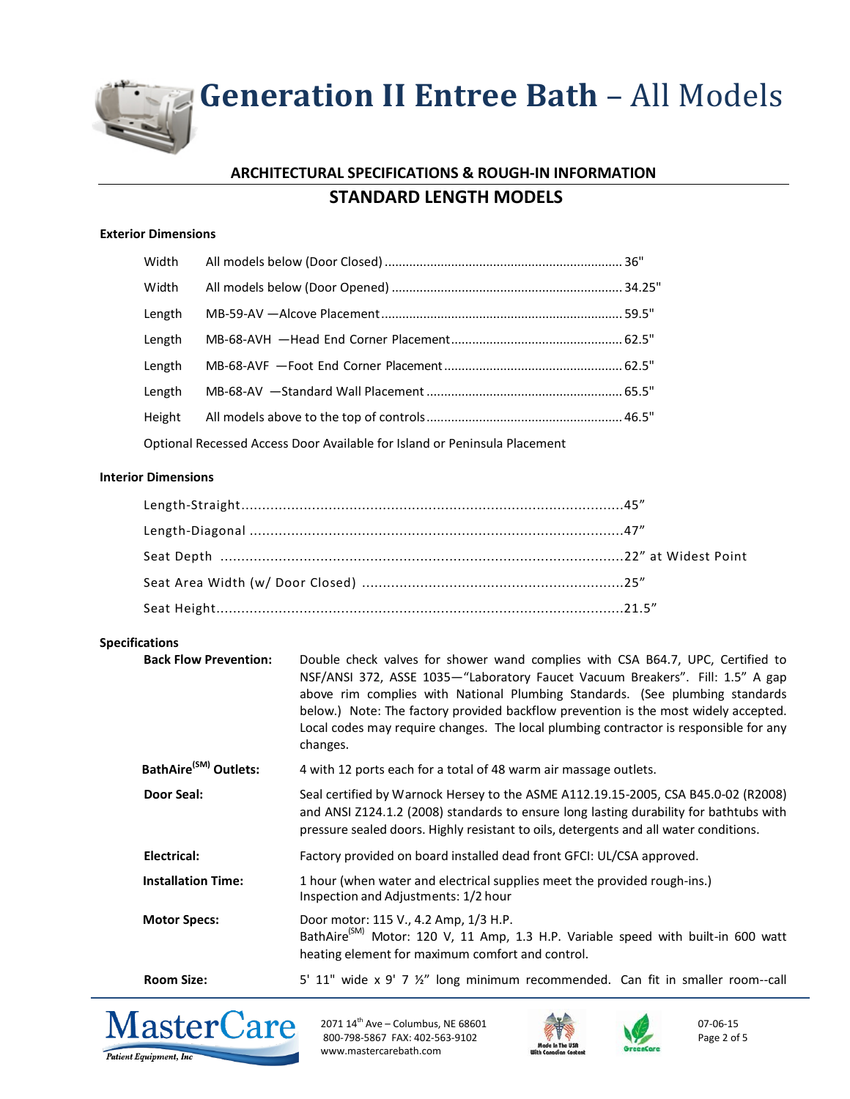## **ARCHITECTURAL SPECIFICATIONS & ROUGH-IN INFORMATION STANDARD LENGTH MODELS**

### **Exterior Dimensions**

| Width  |                                                                           |  |
|--------|---------------------------------------------------------------------------|--|
| Width  |                                                                           |  |
| Length |                                                                           |  |
| Length |                                                                           |  |
| Length |                                                                           |  |
| Length |                                                                           |  |
| Height |                                                                           |  |
|        | Optional Recessed Access Door Available for Island or Peninsula Placement |  |

### **Interior Dimensions**

## **Specifications**

| <b>Back Flow Prevention:</b>      | Double check valves for shower wand complies with CSA B64.7, UPC, Certified to<br>NSF/ANSI 372, ASSE 1035-"Laboratory Faucet Vacuum Breakers". Fill: 1.5" A gap<br>above rim complies with National Plumbing Standards. (See plumbing standards<br>below.) Note: The factory provided backflow prevention is the most widely accepted.<br>Local codes may require changes. The local plumbing contractor is responsible for any<br>changes. |
|-----------------------------------|---------------------------------------------------------------------------------------------------------------------------------------------------------------------------------------------------------------------------------------------------------------------------------------------------------------------------------------------------------------------------------------------------------------------------------------------|
| BathAire <sup>(SM)</sup> Outlets: | 4 with 12 ports each for a total of 48 warm air massage outlets.                                                                                                                                                                                                                                                                                                                                                                            |
| <b>Door Seal:</b>                 | Seal certified by Warnock Hersey to the ASME A112.19.15-2005, CSA B45.0-02 (R2008)<br>and ANSI Z124.1.2 (2008) standards to ensure long lasting durability for bathtubs with<br>pressure sealed doors. Highly resistant to oils, detergents and all water conditions.                                                                                                                                                                       |
| Electrical:                       | Factory provided on board installed dead front GFCI: UL/CSA approved.                                                                                                                                                                                                                                                                                                                                                                       |
| <b>Installation Time:</b>         | 1 hour (when water and electrical supplies meet the provided rough-ins.)<br>Inspection and Adjustments: 1/2 hour                                                                                                                                                                                                                                                                                                                            |
| <b>Motor Specs:</b>               | Door motor: 115 V., 4.2 Amp, 1/3 H.P.<br>BathAire <sup>(SM)</sup> Motor: 120 V, 11 Amp, 1.3 H.P. Variable speed with built-in 600 watt<br>heating element for maximum comfort and control.                                                                                                                                                                                                                                                  |
| <b>Room Size:</b>                 | 5' 11" wide x 9' 7 $\frac{1}{2}$ " long minimum recommended. Can fit in smaller room--call                                                                                                                                                                                                                                                                                                                                                  |



2071  $14^{\text{th}}$  Ave – Columbus, NE 68601 800-798-5867 FAX: 402-563-9102 www.mastercarebath.com





07-06-15 Page 2 of 5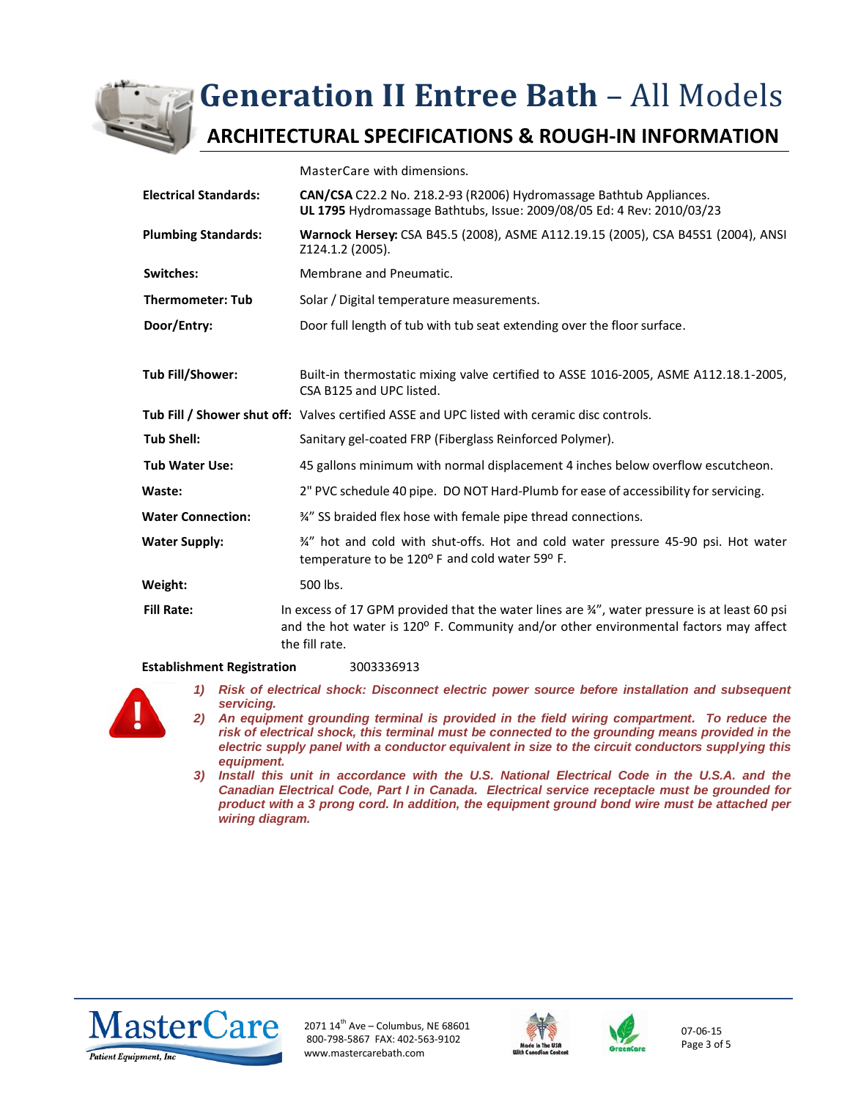

## **ARCHITECTURAL SPECIFICATIONS & ROUGH-IN INFORMATION**

MasterCare with dimensions.

|                              | נוטומוסוווי שווחות וויידו של השפחה ה                                                                                                                                                                               |
|------------------------------|--------------------------------------------------------------------------------------------------------------------------------------------------------------------------------------------------------------------|
| <b>Electrical Standards:</b> | CAN/CSA C22.2 No. 218.2-93 (R2006) Hydromassage Bathtub Appliances.<br>UL 1795 Hydromassage Bathtubs, Issue: 2009/08/05 Ed: 4 Rev: 2010/03/23                                                                      |
| <b>Plumbing Standards:</b>   | Warnock Hersey: CSA B45.5 (2008), ASME A112.19.15 (2005), CSA B45S1 (2004), ANSI<br>Z124.1.2 (2005).                                                                                                               |
| <b>Switches:</b>             | Membrane and Pneumatic.                                                                                                                                                                                            |
| <b>Thermometer: Tub</b>      | Solar / Digital temperature measurements.                                                                                                                                                                          |
| Door/Entry:                  | Door full length of tub with tub seat extending over the floor surface.                                                                                                                                            |
|                              |                                                                                                                                                                                                                    |
| Tub Fill/Shower:             | Built-in thermostatic mixing valve certified to ASSE 1016-2005, ASME A112.18.1-2005,<br>CSA B125 and UPC listed.                                                                                                   |
|                              | Tub Fill / Shower shut off: Valves certified ASSE and UPC listed with ceramic disc controls.                                                                                                                       |
| <b>Tub Shell:</b>            | Sanitary gel-coated FRP (Fiberglass Reinforced Polymer).                                                                                                                                                           |
| <b>Tub Water Use:</b>        | 45 gallons minimum with normal displacement 4 inches below overflow escutcheon.                                                                                                                                    |
| Waste:                       | 2" PVC schedule 40 pipe. DO NOT Hard-Plumb for ease of accessibility for servicing.                                                                                                                                |
| <b>Water Connection:</b>     | 3/4" SS braided flex hose with female pipe thread connections.                                                                                                                                                     |
| <b>Water Supply:</b>         | 34" hot and cold with shut-offs. Hot and cold water pressure 45-90 psi. Hot water<br>temperature to be 120° F and cold water 59° F.                                                                                |
| Weight:                      | 500 lbs.                                                                                                                                                                                                           |
| <b>Fill Rate:</b>            | In excess of 17 GPM provided that the water lines are $\frac{3}{4}$ ", water pressure is at least 60 psi<br>and the hot water is 120° F. Community and/or other environmental factors may affect<br>the fill rate. |
|                              |                                                                                                                                                                                                                    |

#### **Establishment Registration** 3003336913



- *1) Risk of electrical shock: Disconnect electric power source before installation and subsequent servicing.*
- *2) An equipment grounding terminal is provided in the field wiring compartment. To reduce the risk of electrical shock, this terminal must be connected to the grounding means provided in the electric supply panel with a conductor equivalent in size to the circuit conductors supplying this equipment.*
- *3) Install this unit in accordance with the U.S. National Electrical Code in the U.S.A. and the Canadian Electrical Code, Part I in Canada. Electrical service receptacle must be grounded for product with a 3 prong cord. In addition, the equipment ground bond wire must be attached per wiring diagram.*



2071  $14^{\text{th}}$  Ave – Columbus, NE 68601 800-798-5867 FAX: 402-563-9102 www.mastercarebath.com





07-06-15 Page 3 of 5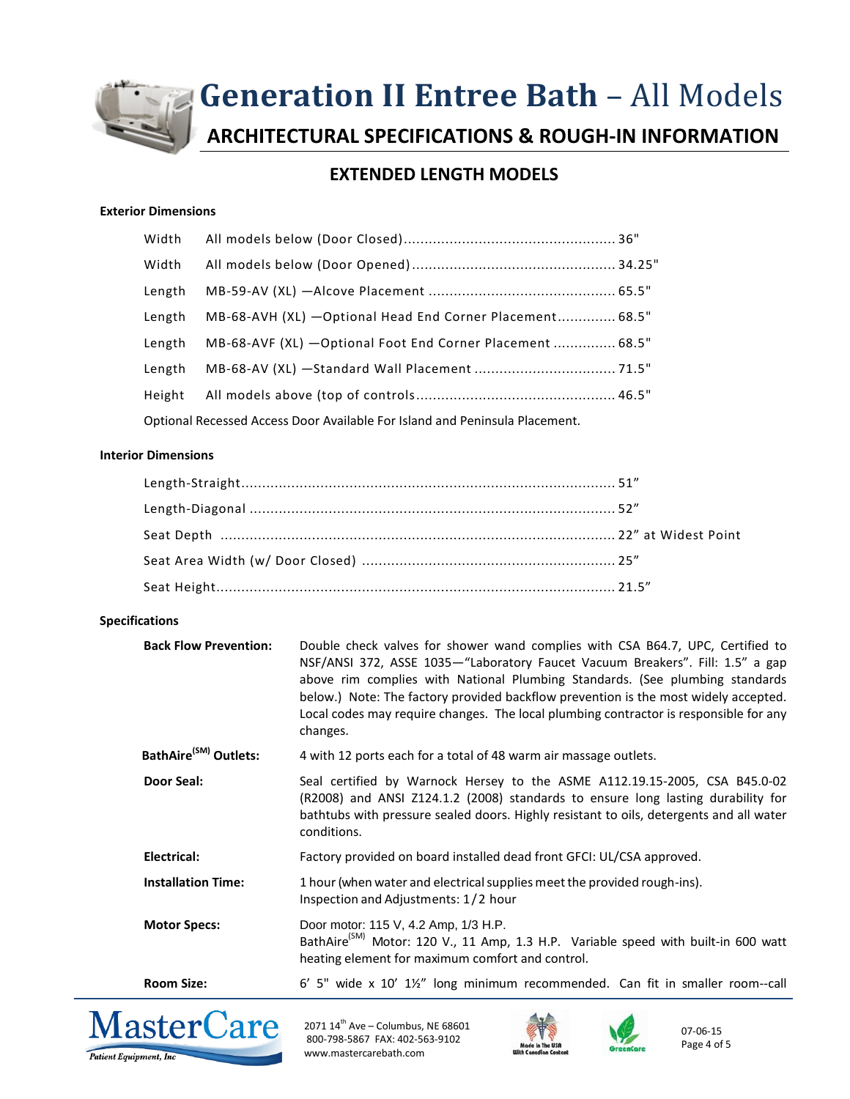

**ARCHITECTURAL SPECIFICATIONS & ROUGH-IN INFORMATION**

## **EXTENDED LENGTH MODELS**

## **Exterior Dimensions**

| Width  |                                                                             |  |
|--------|-----------------------------------------------------------------------------|--|
| Width  |                                                                             |  |
| Length |                                                                             |  |
| Length | MB-68-AVH (XL) - Optional Head End Corner Placement 68.5"                   |  |
| Length | MB-68-AVF (XL) - Optional Foot End Corner Placement  68.5"                  |  |
| Length |                                                                             |  |
| Height |                                                                             |  |
|        | Optional Recessed Access Door Available For Island and Peninsula Placement. |  |

#### **Interior Dimensions**

### **Specifications**

| <b>Back Flow Prevention:</b>      | Double check valves for shower wand complies with CSA B64.7, UPC, Certified to<br>NSF/ANSI 372, ASSE 1035–"Laboratory Faucet Vacuum Breakers". Fill: 1.5" a gap<br>above rim complies with National Plumbing Standards. (See plumbing standards<br>below.) Note: The factory provided backflow prevention is the most widely accepted.<br>Local codes may require changes. The local plumbing contractor is responsible for any<br>changes. |
|-----------------------------------|---------------------------------------------------------------------------------------------------------------------------------------------------------------------------------------------------------------------------------------------------------------------------------------------------------------------------------------------------------------------------------------------------------------------------------------------|
| BathAire <sup>(SM)</sup> Outlets: | 4 with 12 ports each for a total of 48 warm air massage outlets.                                                                                                                                                                                                                                                                                                                                                                            |
| <b>Door Seal:</b>                 | Seal certified by Warnock Hersey to the ASME A112.19.15-2005, CSA B45.0-02<br>(R2008) and ANSI Z124.1.2 (2008) standards to ensure long lasting durability for<br>bathtubs with pressure sealed doors. Highly resistant to oils, detergents and all water<br>conditions.                                                                                                                                                                    |
| Electrical:                       | Factory provided on board installed dead front GFCI: UL/CSA approved.                                                                                                                                                                                                                                                                                                                                                                       |
| <b>Installation Time:</b>         | 1 hour (when water and electrical supplies meet the provided rough-ins).<br>Inspection and Adjustments: 1/2 hour                                                                                                                                                                                                                                                                                                                            |
| <b>Motor Specs:</b>               | Door motor: 115 V, 4.2 Amp, 1/3 H.P.<br>BathAire <sup>(SM)</sup> Motor: 120 V., 11 Amp, 1.3 H.P. Variable speed with built-in 600 watt<br>heating element for maximum comfort and control.                                                                                                                                                                                                                                                  |
| <b>Room Size:</b>                 | 6' 5" wide x 10' 11/2" long minimum recommended. Can fit in smaller room--call                                                                                                                                                                                                                                                                                                                                                              |



2071  $14^{\text{th}}$  Ave – Columbus, NE 68601 800-798-5867 FAX: 402-563-9102 www.mastercarebath.com





07-06-15 Page 4 of 5